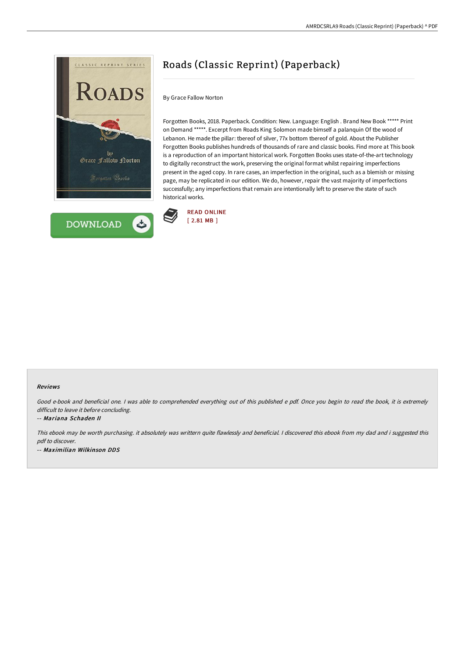



# Roads (Classic Reprint) (Paperback)

By Grace Fallow Norton

Forgotten Books, 2018. Paperback. Condition: New. Language: English . Brand New Book \*\*\*\*\* Print on Demand \*\*\*\*\*. Excerpt from Roads King Solomon made bimself a palanquin Of tbe wood of Lebanon. He made tbe pillar: tbereof of silver, 77x bottom tbereof of gold. About the Publisher Forgotten Books publishes hundreds of thousands of rare and classic books. Find more at This book is a reproduction of an important historical work. Forgotten Books uses state-of-the-art technology to digitally reconstruct the work, preserving the original format whilst repairing imperfections present in the aged copy. In rare cases, an imperfection in the original, such as a blemish or missing page, may be replicated in our edition. We do, however, repair the vast majority of imperfections successfully; any imperfections that remain are intentionally left to preserve the state of such historical works.



#### Reviews

Good e-book and beneficial one. <sup>I</sup> was able to comprehended everything out of this published <sup>e</sup> pdf. Once you begin to read the book, it is extremely difficult to leave it before concluding.

#### -- Mariana Schaden II

This ebook may be worth purchasing. it absolutely was writtern quite flawlessly and beneficial. <sup>I</sup> discovered this ebook from my dad and i suggested this pdf to discover. -- Maximilian Wilkinson DDS